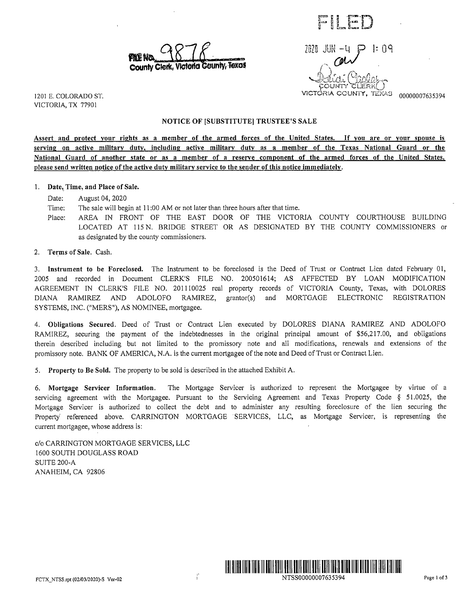

ା: በዓ 那 小 一  $\sqrt{M}$ OLINTY VICTÓRIA COUNTY, TEXAS

00000007635394

1201 E. COLORADO ST. VICTORIA, TX 77901

#### NOTICE OF [SUBSTITUTE] TRUSTEE'S SALE

Assert and protect your rights as a member of the armed forces of the United States. If you are or your spouse is serving on active military duty, including active military duty as a member of the Texas National Guard or the National Guard of another state or as a member of a reserve component of the armed forces of the United States, please send written notice of the active duty military service to the sender of this notice immediately.

#### 1. Date, Time, and Place of Sale.

Date: August 04, 2020

Time: The sale will begin at 11:00 AM or not later than three hours after that time.

AREA IN FRONT OF THE EAST DOOR OF THE VICTORIA COUNTY COURTHOUSE BUILDING Place: LOCATED AT 115N. BRIDGE STREET OR AS DESIGNATED BY THE COUNTY COMMISSIONERS or as designated by the county commissioners.

#### 2. Terms of Sale. Cash.

3. Instrument to be Foreclosed. The Instrument to be foreclosed is the Deed of Trust or Contract Lien dated February 01, 2005 and recorded in Document CLERK'S FILE NO. 200501614; AS AFFECTED BY LOAN MODIFICATION AGREEMENT IN CLERK'S FILE NO. 201110025 real property records of VICTORIA County, Texas, with DOLORES and MORTGAGE ELECTRONIC DIANA RAMIREZ AND ADOLOFO RAMIREZ, grantor(s) **REGISTRATION** SYSTEMS, INC. ("MERS"), AS NOMINEE, mortgagee.

4. Obligations Secured. Deed of Trust or Contract Lien executed by DOLORES DIANA RAMIREZ AND ADOLOFO RAMIREZ, securing the payment of the indebtednesses in the original principal amount of \$56,217.00, and obligations therein described including but not limited to the promissory note and all modifications, renewals and extensions of the promissory note. BANK OF AMERICA, N.A. is the current mortgagee of the note and Deed of Trust or Contract Lien.

5. Property to Be Sold. The property to be sold is described in the attached Exhibit A.

The Mortgage Servicer is authorized to represent the Mortgagee by virtue of a 6. Mortgage Servicer Information. servicing agreement with the Mortgagee. Pursuant to the Servicing Agreement and Texas Property Code § 51.0025, the Mortgage Servicer is authorized to collect the debt and to administer any resulting foreclosure of the lien securing the Property referenced above. CARRINGTON MORTGAGE SERVICES, LLC, as Mortgage Servicer, is representing the current mortgagee, whose address is:

c/o CARRINGTON MORTGAGE SERVICES, LLC 1600 SOUTH DOUGLASS ROAD **SUITE 200-A** ANAHEIM, CA 92806



 $\frac{1}{3}^{\frac{1}{2}}$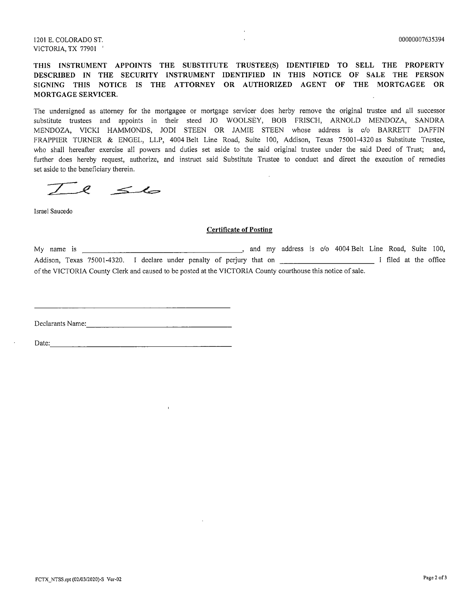1201 E. COLORADO ST. VICTORIA, TX 77901

THIS INSTRUMENT APPOINTS THE SUBSTITUTE TRUSTEE(S) IDENTIFIED TO SELL THE PROPERTY DESCRIBED IN THE SECURITY INSTRUMENT IDENTIFIED IN THIS NOTICE OF SALE THE PERSON SIGNING THIS NOTICE IS THE ATTORNEY OR AUTHORIZED AGENT OF THE MORTGAGEE OR MORTGAGE SERVICER.

The undersigned as attorney for the mortgagee or mortgage servicer does herby remove the original trustee and all successor substitute trustees and appoints in their steed JO WOOLSEY, BOB FRISCH, ARNOLD MENDOZA, SANDRA MENDOZA, VICKI HAMMONDS, JODI STEEN OR JAMIE STEEN whose address is c/o BARRETT DAFFIN FRAPPIER TURNER & ENGEL, LLP, 4004 Belt Line Road, Suite 100, Addison, Texas 75001-4320 as Substitute Trustee, who shall hereafter exercise all powers and duties set aside to the said original trustee under the said Deed of Trust; and, further does hereby request, authorize, and instruct said Substitute Trustee to conduct and direct the execution of remedies set aside to the beneficiary therein.

 $l \leq l$ 

Israel Saucedo

#### **Certificate of Posting**

My name is , and my address is c/o 4004 Belt Line Road, Suite 100, of the VICTORIA County Clerk and caused to be posted at the VICTORIA County courthouse this notice of sale.

Declarants Name:

Date:  $\qquad \qquad$ 

 $\mathbf{r}$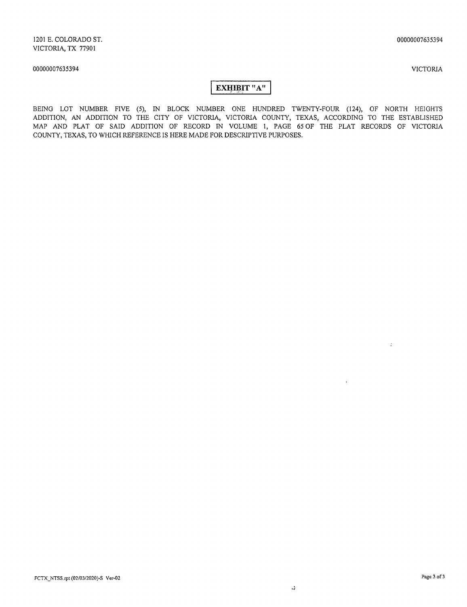00000007635394

**VICTORIA** 

## EXHIBIT "A"

BEING LOT NUMBER FIVE (5), IN BLOCK NUMBER ONE HUNDRED TWENTY-FOUR (124), OF NORTH HEIGHTS ADDITION, AN ADDITION TO THE CITY OF VICTORIA, VICTORIA COUNTY, TEXAS, ACCORDING TO THE ESTABLISHED MAP AND PLAT OF SAID ADDITION O COUNTY, TEXAS, TO WHICH REFERENCE IS HERE MADE FOR DESCRIPTIVE PURPOSES.

 $\mathbb{E}$ 

 $\mathcal{A}^{\pm}$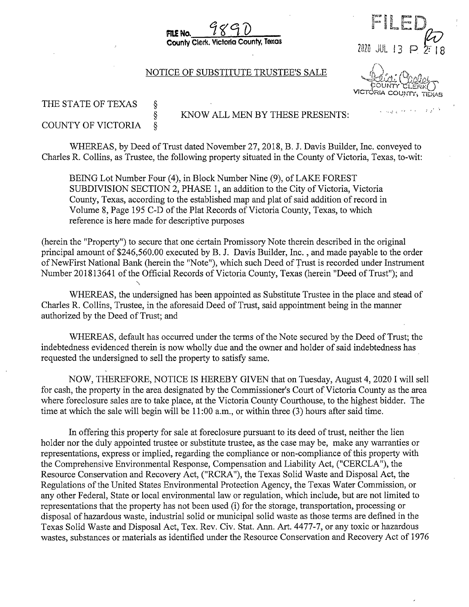4 Arra 7020 JUL 13 P

## NOTICE OF SUBSTITUTE TRUSTEE'S SALE

<u>i o . i u</u>

**FILE No.**<br>County Clerk.

<u>yoy -</u> ROLLA: COOLO VICTORIA COUNTY,

والحارقة الهاوي ويرتب

# THE STATE OF TEXAS  $\S$ <br>COUNTY OF VICTORIA  $\S$ COUNTY OF VICTORIA

## KNOW ALL MEN BY THESE PRESENTS:

County, Texas

WHEREAS, by Deed of Trust dated November 27, 2018, B. J. Davis Builder, Inc. conveyed to Charles R. Collins, as Trustee, the following property situated in the County of Victoria, Texas, to-wit:

BEING Lot Number Four (4), in Block Number Nine (9), of LAKE FOREST SUBDIVISION SECTION 2, PHASE 1, an addition to the City of Victoria, Victoria County, Texas, according to the established map and plat of said addition ofrecord in Volume 8, Page 195 C-D of the Plat Records of Victoria County, Texas, to which reference is here made for descriptive purposes

herein the " Property") to secure that one certain Promissory Note therein described in the original principal amount of\$ 246, 560. <sup>00</sup> executed by B. J. Davis Builder, Inc. , and made payable to the order of NewFirst National Bank ( herein the " Note"), which such Deed of Trust is recorded under Instrument Number 201813641 of the Official Records of Victoria County, Texas (herein "Deed of Trust"); and

WHEREAS, the undersigned has been appointed as Substitute Trustee in the place and stead of Charles R. Collins, Trustee, in the aforesaid Deed of Trust, said appointment being in the manner authorized by the Deed of Trust; and

WHEREAS, default has occurred under the terms of the Note secured by the Deed of Trust; the indebtedness evidenced therein is now wholly due and the owner and holder of said indebtedness has requested the undersigned to sell the property to satisfy same.

NOW, THEREFORE, NOTICE IS HEREBY GIVEN that on Tuesday, August 4, 2020 I will sell for cash, the property in the area designated by the Commissioner's Court of Victoria County as the area where foreclosure sales are to take place, at the Victoria County Courthouse, to the highest bidder. The time at which the sale will begin will be  $11:00$  a.m., or within three  $(3)$  hours after said time.

In offering this property for sale at foreclosure pursuant to its deed of trust, neither the lien holder nor the duly appointed trustee or substitute trustee, as the case may be, make any warranties or representations, express or implied, regarding the compliance or non- compliance of this property with the Comprehensive Environmental Response, Compensation and Liability Act, ("CERCLA"), the Resource Conservation and Recovery Act, (" RCRA"), the Texas Solid Waste and Disposal Act, the Regulations of the United States Environmental Protection Agency, the Texas Water Commission, or any other Federal, State or local environmental law or regulation, which include, but are not limited to representations that the property has not been used (i) for the storage, transportation, processing or disposal of hazardous waste, industrial solid or municipal solid waste as those terms are defined in the Texas Solid Waste and Disposal Act, Tex. Rev. Civ. Stat. Ann. Art. 4477-7, or any toxic or hazardous wastes, substances or materials as identified under the Resource Conservation and Recovery Act of <sup>1976</sup>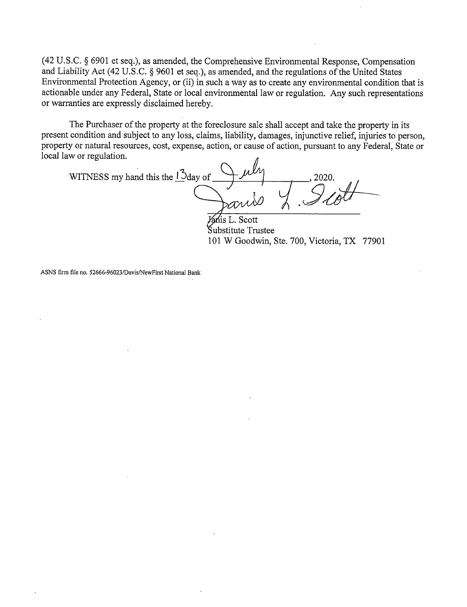42 U.S. C. § 6901 et seq.), as amended, the Comprehensive Environmental Response, Compensation and Liability Act (42 U.S.C. § 9601 et seq.), as amended, and the regulations of the United States Environmental Protection Agency, or (ii) in such <sup>a</sup> way as to-create any environmental condition that is actionable under any Federal, State or local environmental law or regulation. Any such representations or warranties are expressly disclaimed hereby.

The Purchaser of the property at the foreclosure sale shall accept and take the property in its present condition and subject to any loss, claims, liability, damages, injunctive relief, injuries to person, property or natural resources, cost, expense, action, or cause of action, pursuant to any Federal, State or local law or regulation.

WITNESS my hand this the  $1\overline{3}$ day of

is L. Scott ubstitute Trustee 101 W Goodwin, Ste. 700, Victoria, TX 77901

ASNS firm file no. 52666-96023/Davis/NewFirst National Bank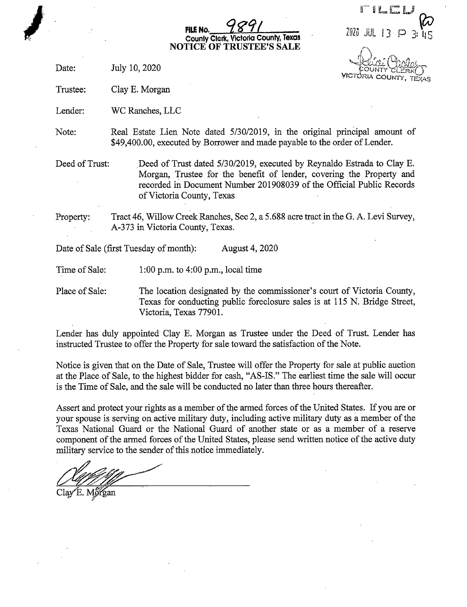## **FILE No** County clerk, Victoria County, Texas NOTICE OF TRUSTEE'S SALE

7070 JUL 13 P

Date: July 10, 2020

VICTORIA COUNTY, TEXAS

Trustee: Clay E. Morgan

Lender: WC Ranches, LLC

Note: Real Estate Lien Note dated 5/30/2019, in the original principal amount of \$49,400.00, executed by Borrower and made payable to the order of Lender.

Deed of Trust: Deed of Trust dated 5/30/2019, executed by Reynaldo Estrada to Clay E. Morgan, Trustee for the benefit of lender, covering the Property and recorded in Document Number 201908039 of the Official Public Records ofVictoria County, Texas

Property: Tract 46, Willow Creek Ranches, Sec 2, a 5. 688 acre tract in the G. A. Levi Survey, A-373 in Victoria County, Texas.

Date of Sale (first Tuesday of month): August 4, 2020

Time of Sale:  $1:00 \text{ p.m. to } 4:00 \text{ p.m., local time}$ 

Place of Sale: The location designated by the commissioner's court of Victoria County, Texas for conducting public foreclosure sales is at 115 N. Bridge Street, Victoria, Texas 77901.

Lender has duly appointed Clay E. Morgan as Trustee under the Deed of Trust. Lender has instructed Trustee to offer the Property for sale toward the satisfaction of the Note.

Notice is given that on the Date of Sale, Trustee will offer the Property for sale at public auction at the Place of Sale, to the highest bidder for cash, "AS-IS." The earliest time the sale will occur is the Time of Sale, and the sale will be conducted no later than three hours thereafter.

Assert and protect your rights as a member of the armed forces of the United States. If you are or your spouse is serving on active military duty, including active military duty as a member of the Texas National Guard or the National Guard of another state or as <sup>a</sup> member of <sup>a</sup> reserve component of the armed forces of the United States, please send written notice of the active duty military service to the sender of this notice immediately.

E. Mórgan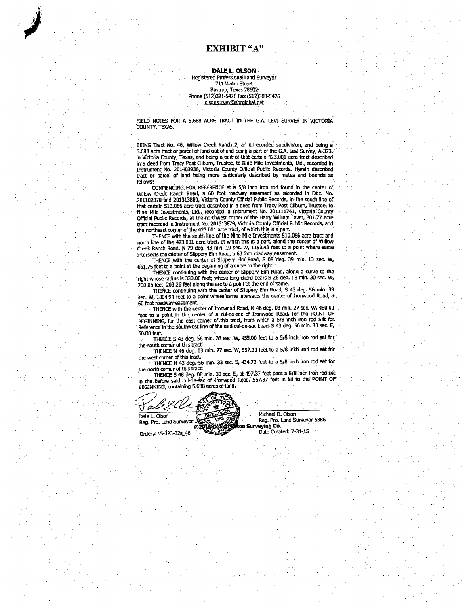#### EXHIBIT "A"

#### DALE<sub>L.</sub> OLSON

#### Registered Professional Land Surveyor 711 Water Street. Bastrop, Texas 78602 Phone( 512) 321- 5476 Fax( 512) 303- 5476 olsonsurvey@sbcglobalnet

FIELD NOTES FOR A 5. 688 ACRE TRACT IN THE G.A. LEVI SURVEY IN VICTORIA COUNTY, TEXAS.

BEING Tract No. 46, Willow Creek Ranch. 2, an unrecorded subdivision, and being a 5.688 acre tract or parcel of land out of and being a part of the G.A. Levi Survey, A-373 in Victoria County, Texas, and being a part of that certain 423. 001 acre tract described in a deed from Tracy Post Clibum, Trustee, to Nine Mile Investments, Ltd., recorded in Instrument No. 201403936, Victoria County Official Public Records. Herein described tract or parcel of land being more particularly described by metes and bounds as

follows:<br>COMMENCING FOR REFERENCE at a 5/8 inch iron rod found in the center of Willow Creek Ranch Road, a bu foot roadway easement as recorded in Doc. No.<br>201102378 and 201313880, Victoria County Official Public Records, in the south line of<br>that certain 510.086 acre tract described in a deed from Tr Nine Mile Investments, Ltd., recorded in Instrument No. 20111/41, victorial Public Records<br>Official Public Records, at the northwest corner of the Harry William Javer, 301.77 acre<br>the northeast corner of the 423.001 acre t

THENCE with the south line of the Nine Mile Investments 510.086 acre tract and<br>north line of the 423.001 acre tract, of which this is a part, along the center of Willow north line of the 423.001 acre tract, of which this is a part, along the center or willow<br>Creek Ranch Road, N 79 deg. 43 min. 19 sec. W, 1193.43 feet to a point where same<br>intersects the center of Slippery Elm Road, a 60 f

THENCE with the center of Slippery Elm Road, S 08 deg. 39 min. 13 sec. W, 661.75 feet to a point at the beginning of a curve to the right.

661.75 reet to a point at the beginning of a cuive to the right.<br>THENCE continuing with the center of Slippery Elm Road, along a curve to the<br>right whose radius is 330.00 feet; whose long chord bears S 26 deg. 18 min. 30 s

200. 06 feet; 203. 26 feet along the arc to a point at the end of same. THENCE continuing with the center of Slippery Elm Road, S 43 deg. 56 min. 33 sec. W, 1804. 94 feet to a point where' same Interseds the center of Ironwood Road, a-60 foot roadway easement

THENCE with the center of Ironwood Road, N 46 deg. 03 min. 27 sec. W, 480. 00 feet to a point in the center of a cul-de-sac of Irionwood Road, for the POINT OF Reference In the southwest line of the said cul-de-sac bears S 43 deg. 56 min. 33 sec. E, 60. 00 feet

THENCE <sup>S</sup> 43 deg. 56 min. 33 sec. W, 455. 00 feet to a 5/ 8 inch iron rod set for the south corner of this tract

THENCE N 46 deg. 03 min. 27 sec. W, 557.00 feet to a 5/8 inch iron rod set for the west corner of this tract.

THENCE N 43 deg. 56 min. 33 sec. E, 434.73 feet to a 5/8 inch iron rod set for<br>the north corner of this tract:

the north corner of this tract.<br>THENCE S 48 deg. 08 min. 30 sec. E, at 497.37 feet pass a 5/8 inch iron rod set<br>In the before said cul-de-sac of Ironwood Road, 557.37 feet in all to the POINT OF BEGINNING, containing 5.688 acres of land.

ale y Wig OLS011 Dale L. Olson Davis Davis Davis Den Davis Den Davis Den Davis Den Davis Den Davis Den Davis Den Davis Den Davis Den Davis Den Davis Den Davis Den Davis Den Davis Den Davis Den Davis Den Davis Den Davis Den Davis Den Davis

Reg. Pro. Land Surveyor

Order# 15-323-32s\_46

Reg. Pro. Land Surveyor 5386

eying Co.<br>Date Created: 7-31-15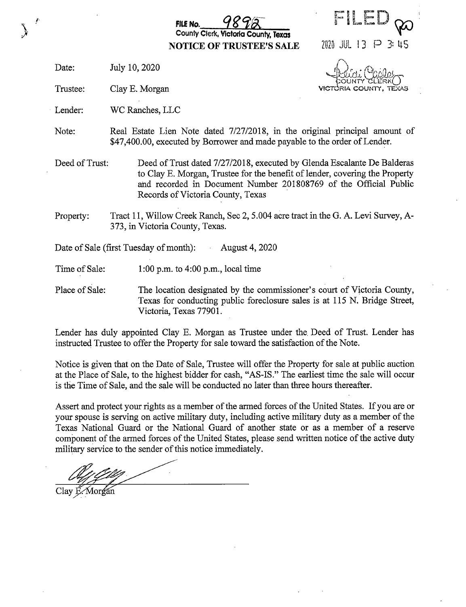FILE NO.  $9892$  FILEL County Clerk, Victoria County, Texas<br>
OTICE OF TRUSTEE'S SALE 2020 JUL 13 P 3: 45 NOTICE OF TRUSTEE'S SALE

Date: July 10, 2020

Trustee: Clay E. Morgan

Lender: WC Ranches, LLC

OUNTY CLEAR

- Note: Real Estate Lien Note dated 7/27/2018, in the original principal amount of \$47,400.00, executed by Borrower and made payable to the order of Lender.
- Deed of Trust: Deed of Trust dated 7/27/2018, executed by Glenda Escalante De Balderas to Clay E. Morgan, Trustee for the benefit of lender, covering the Property and recorded in Document Number 201808769 of the Official Public Records of Victoria County, Texas
- Property: Tract 11, Willow Creek Ranch, Sec 2, 5. 004 acre tract in the G. A. Levi Survey, A-373, in Victoria County, Texas.

Date of Sale (first Tuesday of month): August 4, 2020

Time of Sale:  $1:00 \text{ p.m. to } 4:00 \text{ p.m., local time}$ 

Place of Sale: The location designated by the commissioner's court of Victoria County, Texas for conducting public foreclosure sales is at 115 N. Bridge Street, Victoria, Texas 77901.

Lender has duly appointed Clay E. Morgan as Trustee under the. Deed of Trust. Lender has instructed Trustee to offer the Property for sale toward the satisfaction of the Note.

Notice is given that on the Date of Sale, Trustee will offer the Property for sale at public auction at the Place of Sale, to the highest bidder for cash, " AS-IS." The earliest time the sale will occur is the Time of Sale, and the sale will be conducted no later than three hours thereafter.

Assert and protect your rights as <sup>a</sup> member of the armed forces of the United States. If you are or your spouse is serving on active military duty, including active military duty as a member of the Texas National Guard or the National Guard of another state or as a member of <sup>a</sup> reserve component of the armed forces of the United States, please send written notice of the active duty military service to the sender of this notice immediately.

Clay E. Morgan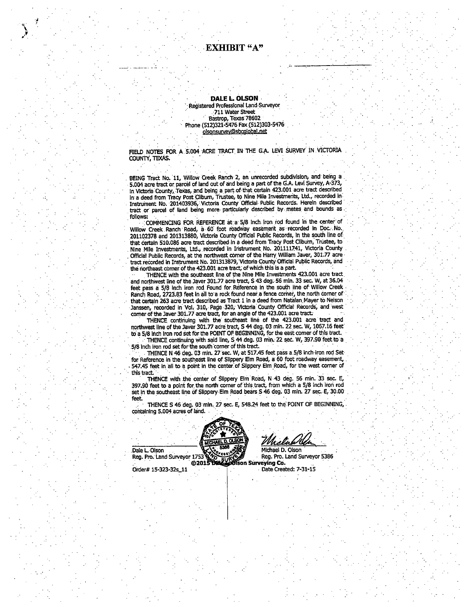### EXHIBIT "A"

#### DALE L. OLSON Registered Professional Land Surveyor 711 Water Street Bastrop, Texas 78602 Phone (512) 321- 5476 Fax (512) 303- 5476 olsonsurvey@sbcglobal. net

FIELD NOTES FOR A 5.004 ACRE TRACT IN THE G.A. LEVI SURVEY IN VICTORIA COUNTY, TEXAS.

BEING Tract No. 11, Willow Creek Ranch 2, an unrecorded subdivision, and being a 5.004 acre tract or parcel of land out of and being a part of the G.A. Levi Survey, A-373, in.Victoria County, Texas, and being a part of that certain 423. 001 acre tract described in a deed from Tracy Post album, Trustee, to Nine Mile Investments, Ltd., recorded in Instrument No.- 201403936,. Victoria County Official- Public Records. Herein described tract or parcel of land being more particularly described by metes and bounds as. follows:

COMMENCING FOR REFERENCE at a 5/8 inch iron rod found in the center of Willow Creek. Ranch Road, a 60 foot roadway easement as recorded in Doc. No.<br>201102378 and 201313880, Victoria County Official Public Records, in the south line of that certain 510. 086 acre tract described In a deed from Tracy Post Clibum, Trustee, to Nine Mile Investments, Ltd., recorded in Instrument No. 201111741, Victoria County Official Public Records, at the northwest corner of the Harry William Javer, 301. 77 acre tract recorded in Instrument No. 201313879, Victoria' County Official Public Records, and the northeast corner of the 423. 001 acre tract, of which this is a part.

THENCE with the southeast. line. of the Nine Mile Investments 423.001 acre tract. and northwest line of the Javer 301.77 acre tract, S 43 deg. 56 min. 33 sec. W, at 36.04 feet pass a 5/8 inch iron rod Found for Reference in the south line of Willow Creek Ranch Road, 2723.83 feet in all to a rock found near a fence corner, the north corner of that certain 263 acre tract described as Tract 1 in a deed from Natalan Mayer to Nelson Janssen, recorded in Vol. 310, Page 320, Victoria County Official Records, and west comer of the Javer 301.77 acre tract, for an angle of the 423.001 acre tract.

THENCE continuing with the southeast line of the 423.001 acre tract and northwest line of the Javer 301. 77 acre tract, S 44 deg. 03 min. 22 sec. W, 1067. 16 feet to a 5/8 linch Iron rod set for the POINT OF BEGINNING, for the east corner of this tract. THENCE continuing with said line,  $S$  44 deg. 03 min. 22 sec. W, 397.90 feet to a 5/8 inch iron rod set for the south corner of this tract.

THENCE N 46 deg. 03 min. 27 sec. W, at 517.45 feet pass a 5/8 inch iron rod Setfor Reference in the southeast line of Slippery Elm Road, a 60 foot roadway easement, 547.45 feet in all to a point in the center of Slippery Elm Road, for the west corner of this tract.

THENCE with the center of Slippery Elm Road, N 43 deg. 56 min. 33 sec. E, 397.90 feet to a point for the north corner of this tract, from which a 5/8 inch iron rod<br>set in the southeast line of Slippery Elm Road bears S 46 deg. 03 min. 27 sec. E, 30.00 feet.

THENCE S 46 deg. 03 min. 27 sec. E, 548.24 feet to the POINT OF BEGINNING, containing 5.004 acres of land.



Dale L. Olson Reg. Pro. Land Surveyor 1753

fi

Michael D. Olson<br>Reg. Pro. Land Surveyor 5386

Order# 15-323-32s\_11

1**95 son Surveying Co.**<br>2011 Date Created: 7-31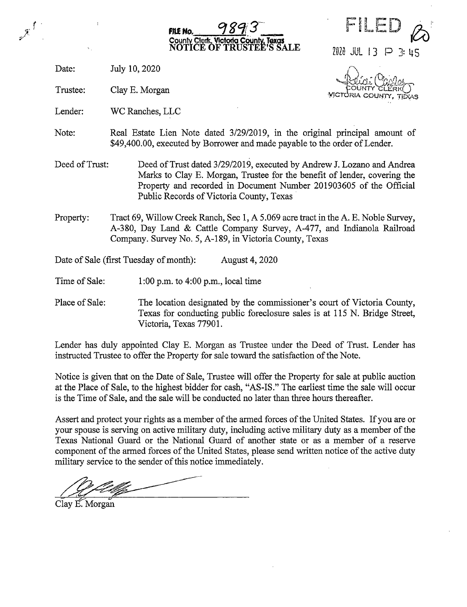





VICTORIA COUNTY, TEXAS

Date: July 10, 2020

Trustee: Clay E. Morgan OUNTY P(

Lender: WC Ranches, LLC

- Note: Real Estate Lien Note dated 3/29/2019, in the original principal amount of \$49,400.00, executed by Borrower and made payable to the order of Lender.
- Deed of Trust: Deed of Trust dated 3/29/2019, executed by Andrew J. Lozano and Andrea Marks to Clay E. Morgan, Trustee for the benefit of lender, covering the Property and recorded in Document Number 201903605 of the Official Public Records of Victoria County, Texas
- Property: Tract 69, Willow Creek Ranch, Sec 1, A 5.069 acre tract in the A. E. Noble Survey, A-380, Day Land & Cattle Company Survey, A-477, and Indianola Railroad Company. Survey No. 5, A- 189, in Victoria County, Texas

Date of Sale (first Tuesday of month): August 4, 2020

- Time of Sale:  $1:00 \text{ p.m. to } 4:00 \text{ p.m., local time}$
- Place of Sale: The location designated by the commissioner's court of Victoria County, Texas for conducting public foreclosure sales is at 115 N. Bridge Street, Victoria, Texas 77901.

Lender has duly appointed Clay E. Morgan as Trustee under the Deed of Trust. Lender has instructed Trustee to offer the Property for sale toward the satisfaction of the Note.

Notice is given that on the Date of Sale, Trustee will offer the Property for sale at public auction at the Place of Sale, to the highest bidder for cash, "AS-IS." The earliest time the sale will occur is the Time of Sale, and the sale will be conducted no later than three hours thereafter.

Assert and protect your rights as a member of the armed forces of the United States. If you are or your spouse is serving on active military duty, including active military duty as a member of the Texas National Guard or the National Guard of another state or as a member of a reserve component of the armed forces of the United States, please send written notice of the active duty military service to the sender of this notice immediately.

Clay E. Morgan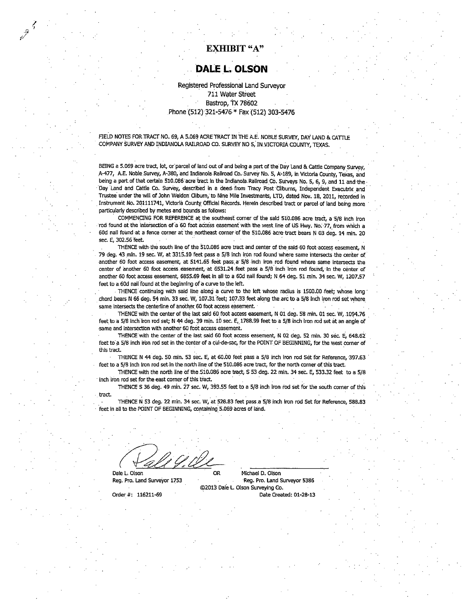## EXHIBIT "A"

## DALE L. OLSON

Registered Professional Land Surveyor 711 Water Street Bastrop, TX 78602 Phone (512) 321-5476 \* Fax (512) 303-5476

FIELD NOTES FOR TRACT NO. 69, A 5.069 ACRE TRACT IN THE A.E. NOBLE SURVEY, DAY LAND & CATTLE COMPANY SURVEY AND INDIANOLA RAILROAD CO. SURVEY NO 5; IN VICTORIA COUNTY, TEXAS.

BEING a 5.069 acre tract, lot, or parcel of land out of and being a part of the Day Land & Cattle Company Survey,<br>A-477, A.E. Noble Survey, A-380, and Indianola Railroad Co. Survey No. 5, A-189, in Victoria County, Texas, being a part of that certain 510.086 acre tract in the Indianola Railroad Co. Surveys No. 5, 6, 9, and 11 and the Day Land and Cattle Co. Survey, described in a deed- from Tracy Post Cilburns, Independent Executrix and Trustee under the will of John Weldon Cliburn; to Nine Mile Investments, LTD, dated Nov. 18, 2011, recorded in Instrument No. 201111741, Victoria County Official Records. Herein described tract or parcel of land being more particularly described by metes and bounds as follows:

COMMENCING FOR REFERENCE at the southeast corner of the said 510.086 acre tract, a 5/8 inch iron rod found at the intersection of a 60 foot access easement with the west. line of US Hwy. No:- 77, from which a 60d nail found at <sup>a</sup> fence corner at the northeast corner of the 510. 086 acre- tract bears N 03 deg. 14 min. 20 sec. E, 302.56 feet.

THENCE with the south line of the 510.086 acre tract and center of the said 60 foot access easement, N 79 deg. 43 min. 19 sec. W, at 3315.10 feet pass a 5/8 inch iron rod found where same intersects the center of another 60 foot access easement, at 5141.65 feet pass a 5/8 inch iron rod found where same intersects the center of another 60 foot access easement, at 6531.24 feet pass a 5/8 inch iron rod found, in the center of another 60 foot access easement, 6855.69 feet in all to a 60d nail found; N 64 deg. 51 min. 34 sec. W, 1207.57 feet to a 60d nail found at the beginning of a curve to the left.

THENCE continuing with said line along a curve to the left whose radius is 1500.00 feet; whose long chord bears N 66 deg. 54 min. 33 sec. W, 107.31 feet; 107.33 feet along the arc to a 5/8 inch iron rod set where same intersects the centerline of another 60 foot access easement.

THENCE with the center of the last said 60 foot access easement, N 01 deg. 58 min. 01 sec. W, 1094.76 feet to a 5/8 inch iron rod set; N 44 deg. 39 min. 10 sec. E, 1788.99 feet to a 5/8 inch iron rod set at an angle of same and intersection with another 60 foot access easement.

THENCE with the center of the last said 60 foot access easement, N 02 deg. 52 min. 30 sec. E, 648.62 feet to a 5/8 inch iron rod set in the center of a cul-de-sac, for the POINT OF BEGINNING, for the west corner of this tract.

THENCE N 44 deg. 50 min. 53 sec. E, at 60.00 feet pass a 5/8 inch iron rod Set for Reference, 397.63 feet to a 5/8 inch iron rod set-in the north line of the 510.086 acre tract, for the north corner of this tract.

THENCE with the north line of the 510.086 acre tract, S 53 deg. 22 min. 34 sec. E, 533.32 feet to a 5/8 inch iron rod set for the east corner of this tract.

THENCE S 36 deg. 49 min. 27 sec. W, 393.55 feet to a 5/8 inch iron rod set for the south corner of this tract.

THENCE N 53 deg. 22 min. 34 sec. W, at 528.83 feet pass a 5/8 inch iron rod Set for Reference, 588.83 feet in all to the POINT OF BEGINNING, containing 5. 069 acres of land.

 $\ell_1\ell_2\ell_3\ell_4$ 

Dale L. Olson OR Michael D. Olson

Reg. Pro. Land Surveyor 1753 Reg. Pro. Land Surveyor 5386 2013 Dale L. Olson Surveying Co. Order #: 116211-69 Date Created: 01-28-13

i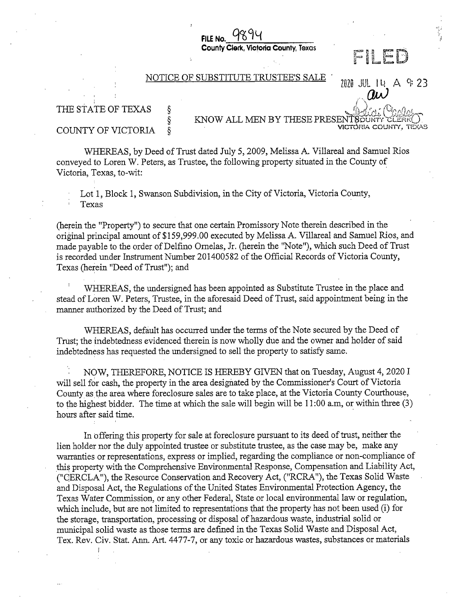County Clerk, Victorio County, Texas

#### NOTICE OF SUBSTITUTE TRUSTEE'S SALE

 $\iota$ 

FILE No.

# THE STATE OF TEXAS<br>§<br>COUNTY OF VICTORIA

NOTICE OF SUBSTITUTE TRUSTEE'S SALE<br>THE STATE OF TEXAS  $\delta$  KNOW ALL MEN BY THESE PRESENTED TO MOTORAL CLERK KNOW ALL MEN BY THESE PRESENT SOUNTY CLERK()

rain<br>D

2020 JUL 14 A 9: 23

WHEREAS, by Deed of Trust dated July 5, 2009, Melissa A. Villareal and Samuel Rios conveyed to Loren W. Peters, as Trustee, the following property situated in the County of Victoria, Texas, to -wit:

Lot 1, Block 1, Swanson Subdivision, in the City of Victoria, Victoria County, Texas

herein the " Property") to secure that one certain Promissory Note therein described in the original principal amount of \$159, 999. 00 executed by Melissa A. Villareal and Samuel Rios, and made payable to the order of Delfino Ornelas, Jr. (herein the "Note"), which such Deed of Trust is recorded under Instrument Number 201400582 of the Official Records of Victoria County, Texas (herein "Deed of Trust"); and

WHEREAS, the undersigned has been appointed as Substitute Trustee in the place and stead of Loren W. Peters, Trustee, in the aforesaid Deed of Trust, said appointment being in the manner authorized by the Deed of Trust; and

WHEREAS, default has occurred under the terms of the Note secured by the Deed of Trust; the indebtedness evidenced therein is now wholly due and the owner and holder of said indebtedness has requested the undersigned to sell the property to satisfy same.

NOW, THEREFORE, NOTICE IS HEREBY GIVEN that on Tuesday, August 4, 2020 I will sell for cash, the property in the area designated by the Commissioner's Court of Victoria County as the area where foreclosure sales are to take place, at the Victoria County Courthouse, to the highest bidder. The time at which the sale will begin will be  $11:00$  a.m, or within three  $(3)$ hours after said time.

In offering this property for sale at foreclosure pursuant to its deed of trust, neither the lien holder nor the duly appointed trustee or substitute trustee, as the case may be, make any warranties or representations, express or implied, regarding the compliance or non- compliance of this property with the Comprehensive Environmental Response, Compensation and Liability Act, CERCLA"), the Resource Conservation and Recovery Act, ("RCRA"), the Texas Solid Waste and Disposal Act, the Regulations of the United States Environmental Protection Agency, the Texas Water Commission, or any other Federal, State or local environmental law or regulation, which include, but are not limited to representations that the property has not been used (i) for the storage, transportation, processing or disposal of hazardous waste, industrial solid or municipal solid waste as those terms are defined in the Texas Solid Waste and Disposal Act, Tex. Rev. Civ. Stat. Ann. Art. 4477-7, or any toxic or hazardous wastes, substances or materials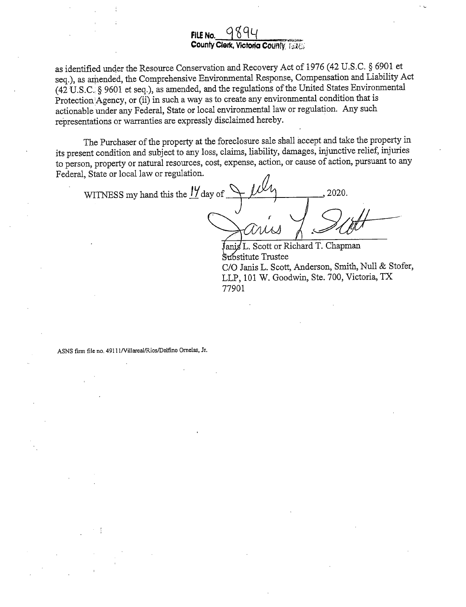## FILE No.  $980$ County Clerk, Victoria County, Texes

as identified under the Resource Conservation and Recovery Act of 1976 (42 U.S.C. § 6901 et seq.), as amended, the Comprehensive Environmental Response, Compensation and Liability Act 42' U.S. C. § <sup>9661</sup> et seq.), as amended, and the regulations of the United States Environmental Protection Agency, or (ii) in such a way as to create any environmental condition that is actionable under any Federal, State or local environmental law or regulation. Any such representations or warranties are expressly disclaimed hereby.

The Purchaser of the property at the foreclosure sale shall accept and take the property in its present condition and subject to any loss, claims, liability, damages, injunctive relief, injuries to person, property or natural resources, cost, expense, action, or cause of action, pursuant to any Federal, State or local law or regulation.

ble under any Federal, State or local environmental law or regulation. Any<br>atations or warranties are expressly disclaimed hereby.<br>The Purchaser of the property at the foreclosure sale shall accept and take<br>ent condition

Let Channel Comman Substitute Trustee Substitute Trustee<br>C/O Janis L. Scott, Anderson, Smith, Null & Stofer, LLP, 101 W. Goodwin, Ste. 700, Victoria, TX 77901

ASNS firm file no. 49111/Villareal/Rios/Delfino Ornelas, Jr.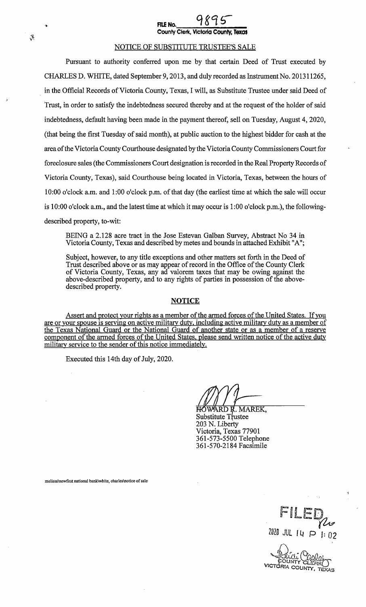## FILE No. County Clerk, Victoria County, Texas

## NOTICE OF SUBSTITUTE TRUSTEE'S SALE

Pursuant to authority conferred upon me by that certain Deed of Trust executed by CHARLES D. WHITE, dated September 9, 2013, and duly recorded as Instrument No. 201311265, in the Official Records of Victoria County, Texas, I will, as Substitute Trustee under said Deed of Trust, in order to satisfy the indebtedness secured thereby and at the request of the holder of said indebtedness, default having been made in the payment thereof, sell on Tuesday, August 4, 2020, that being the first Tuesday of said month), at public auction to the highest bidder for cash at the area ofthe Victoria County Courthouse designated by the Victoria County Commissioners Court for foreclosure sales( the Commissioners Court designation is recorded in the Real Property Records of Victoria County, Texas), said Courthouse being located in Victoria, Texas, between the hours of 10: 00 o'clock a.m. and 1: 00 o'clock p.m. of that day (the earliest time at which the sale will occur is 10:00 o'clock a.m., and the latest time at which it may occur is 1:00 o'clock p.m.), the followingdescribed property, to-wit:

BEING a 2. 128 acre tract in the Jose Estevan Galban Survey, Abstract No 34 in Victoria County, Texas and described by metes and bounds in attached Exhibit" A";

Subject, however, to any title exceptions and other matters set forth in the Deed of Trust described above or as may appear of record in the Office of the County Clerk of Victoria County, Texas, any ad valorem taxes that may be owing against the above- described property, and to any rights of parties in possession of the abovedescribed property.

## **NOTICE**

Assert and protect your rights as a member of the armed forces of the United States. If you are or your spouse is serving on active military duty, including active military duty as <sup>a</sup> member of the Texas National Guard or the National Guard of another state or as a member of <sup>a</sup> reserve component of the armed forces of the United States, please send written notice of the active duty military service to the sender of this notice immediately.

Executed this 14th day of July, 2020.

WARD R. MAREK, Substitute Trustee 203 N. Liberty Victoria, Texas 77901 361-573-5500 Telephone 361-570-2184 Facsimile

melissa\newfirst national bank\white, charles\notice of sale

FII EN  $2020$  JUL  $|4 \rangle$   $\Box$ WALD COUNTY CLERK

 $\tilde{\mathcal{S}}$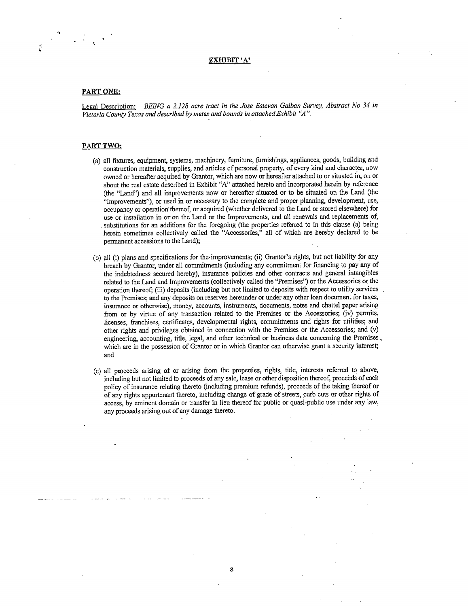#### EXHIBIT' A'

#### PART ONE:

Legal Description: BEING a 2.128 acre tract in the Jose Estevan Galban Survey, Abstract No 34 in Victoria County Texas and described by metes and bounds in attached Exhibit " A".

#### PART TWO:

- a) all fixtures, equipment, systems, machinery, furniture, furnishings, appliances, goods, building and construction materials, supplies, and articles of personal property, of every kind and character, now owned or hereafter acquired by Grantor, which are now or hereafter attached to or situated in, on or about the real estate described in Exhibit "A" attached hereto and incorporated herein by reference (the "Land") and all improvements now or hereafter situated or to be situated on the Land (the "Improvements"), or used in or necessary to the complete and proper planning, development, use, occupancy or operation' thereof, or acquired( whether delivered to the Land or stored elsewhere) for use or installation in or on the Land or the Improvements, and all renewals and replacements of, substitutions for an additions for the foregoing (the properties referred to in this clause (a) being herein sometimes collectively called the "Accessories," all of which are hereby declared to be permanent accessions to the Land);
- (b) all (i) plans and specifications for the improvements; (ii) Grantor's rights, but not liability for any breach by Grantor, under all commitments( including any commitment for financing to pay any of the indebtedness secured hereby), insurance policies and other contracts and general intangibles related to the Land and Improvements( collectively called the" Premises") or the Accessories or the operation thereof;( iii) deposits( including but not limited to deposits with respect to utility services to the Premises; and any deposits on reserves hereunder or under any other loan document for taxes, insurance or otherwise), money, accounts, instruments, documents, notes and chattel paper arising from or by virtue of any transaction related to the Premises or the Accessories; (iv) permits, licenses, franchises, certificates, developmental rights, commitments and rights for utilities; and other rights and privileges obtained in connection with the Premises or the Accessories; and ( v) engineering, accounting, title, legal, and other technical or business data concerning the Premises, which are in the possession of Grantor or in which Grantor can otherwise grant a security interest; and
- c) all proceeds arising of or arising from the properties, rights, title, interests referred to above, including but not limited to proceeds of any sale, lease or other disposition thereof, proceeds of each policy of insurance relating thereto( including premium refunds), proceeds of the taking thereof or of any rights appurtenant thereto, including change of grade of streets, curb cuts or other rights of access, by eminent domain or transfer in lieu thereof for public or quasi- public use under any law, any proceeds arising out of any damage thereto.

8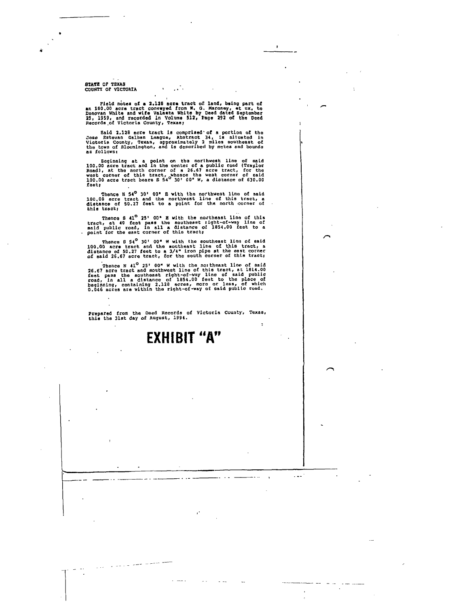STATE OP TEXAS COUNTY OF VICTORIA

Pield notes of a 2.128 acre tract of land, being part of<br>an 100.00 acre tract conveyed from W. G. Maroney, et ux, te<br>Donovan White and wife Valasta White by Deed dated September<br>23, 1959, and recorded in Volume 512, Page 2

 $\sim$   $\sim$  $\mathbf{r}$ 

Baid 2.128 acre tract is comprised of a portion of the<br>Jose Estevan Galban League, Abstract 34, is situated in<br>Victoria County, Texas, approximately 2 miles southeast of<br>the town of Bloomington, and is described by metes a

Eeginning at a point on the northwest line of said<br>100,00 acre tract and in the center of a public road (Traylor<br>Road), at the north corner of a 26.67 acre tract, for the<br>west corner of this tract, whence the west corner o feet;

Thence N 54<sup>0</sup> 30' 00" E with the northwest line of said<br>100.00 acre tract and the northwest line of this tract, a<br>distance of 50.27 feet to a point for the north corner of<br>this tract;

Thence S 41<sup>°</sup> 25' 00" E with the noctheast line of this<br>tract, at 40 feet pass the southeast right-of-way line of<br>said public road, in all a distance of 1854.00 feet to a<br>point for the east corner of this tract;

 $\overline{a}$ 

 $\sim$   $\sim$   $\sim$ 

Thence 8 54<sup>0</sup> 30' 00" W with the southeast lime of said<br>100.00 acre tract and the southeast lime of this tract, a<br>distance of 50.27 feet to a 3/4" iron pipe at the east corner<br>of said 26.67 acre tract, for the south corne

Thence N 41<sup>0</sup> 25' 00" W with the nottheast line of asid<br>26.67 acre tract and southwest line of this tract, at 1814.00<br>feet pass the southeast right-of-way line of said public<br>poad, in all a distance of 1854.00 feet to the

Prepared from the Deed Records of Victoria County, Texas, Chia the 31et day of August, 1994.

من مسير المريد المدين

## EXHIBIT "A"